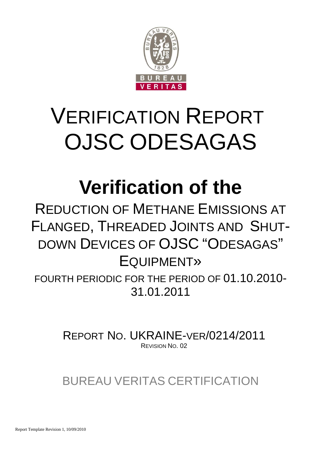

# VERIFICATION REPORT OJSC ODESAGAS

## **Verification of the**

REDUCTION OF METHANE EMISSIONS AT FLANGED, THREADED JOINTS AND SHUT-DOWN DEVICES OF OJSC "ODESAGAS" EQUIPMENT»

FOURTH PERIODIC FOR THE PERIOD OF 01.10.2010- 31.01.2011

> REPORT NO. UKRAINE-VER/0214/2011 REVISION NO. 02

BUREAU VERITAS CERTIFICATION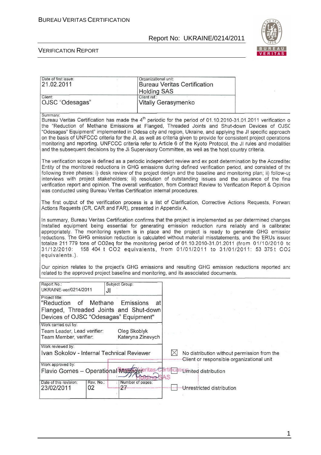## Report No: UKRAINE/0214/2011



#### VERIFICATION REPORT

| Date of first issue:<br>21.02.2011                                                                                                                                                                                                                                                                                                                                                                                                                                                                                                                                                                                                                                                                   | Organizational unit:<br><b>Bureau Veritas Certification</b><br><b>Holding SAS</b>                                                                                                                                                                                                                                                                                                                                                                                                                                                                                                                                                                           |                                                                                          |  |  |  |  |  |
|------------------------------------------------------------------------------------------------------------------------------------------------------------------------------------------------------------------------------------------------------------------------------------------------------------------------------------------------------------------------------------------------------------------------------------------------------------------------------------------------------------------------------------------------------------------------------------------------------------------------------------------------------------------------------------------------------|-------------------------------------------------------------------------------------------------------------------------------------------------------------------------------------------------------------------------------------------------------------------------------------------------------------------------------------------------------------------------------------------------------------------------------------------------------------------------------------------------------------------------------------------------------------------------------------------------------------------------------------------------------------|------------------------------------------------------------------------------------------|--|--|--|--|--|
| Client:<br>OJSC "Odesagas"                                                                                                                                                                                                                                                                                                                                                                                                                                                                                                                                                                                                                                                                           | Client ref.:<br>Vitaliy Gerasymenko                                                                                                                                                                                                                                                                                                                                                                                                                                                                                                                                                                                                                         |                                                                                          |  |  |  |  |  |
| Summary:<br>Bureau Veritas Certification has made the 4 <sup>th</sup> periodic for the period of 01.10.2010-31.01.2011 verification o<br>the "Reduction of Methane Emissions at Flanged, Threaded Joints and Shut-down Devices of OJSC<br>"Odesagas" Equipment" implemented in Odesa city and region, Ukraine, and applying the JI specific approach<br>on the basis of UNFCCC criteria for the JI, as well as criteria given to provide for consistent project operations<br>monitoring and reporting. UNFCCC criteria refer to Article 6 of the Kyoto Protocol, the JI rules and modalities<br>and the subsequent decisions by the JI Supervisory Committee, as well as the host country criteria. |                                                                                                                                                                                                                                                                                                                                                                                                                                                                                                                                                                                                                                                             |                                                                                          |  |  |  |  |  |
|                                                                                                                                                                                                                                                                                                                                                                                                                                                                                                                                                                                                                                                                                                      | The verification scope is defined as a periodic independent review and ex post determination by the Accreditec<br>Entity of the monitored reductions in GHG emissions during defined verification period, and consisted of the<br>following three phases: i) desk review of the project design and the baseline and monitoring plan; ii) follow-ur<br>interviews with project stakeholders; iii) resolution of outstanding issues and the issuance of the fina<br>verification report and opinion. The overall verification, from Contract Review to Verification Report & Opinion<br>was conducted using Bureau Veritas Certification internal procedures. |                                                                                          |  |  |  |  |  |
| The first output of the verification process is a list of Clarification, Corrective Actions Requests, Forwarc<br>Actions Requests (CR, CAR and FAR), presented in Appendix A.                                                                                                                                                                                                                                                                                                                                                                                                                                                                                                                        |                                                                                                                                                                                                                                                                                                                                                                                                                                                                                                                                                                                                                                                             |                                                                                          |  |  |  |  |  |
| In summary, Bureau Veritas Certification confirms that the project is implemented as per determined changes<br>Installed equipment being essential for generating emission reduction runs reliably and is calibratec<br>appropriately. The monitoring system is in place and the project is ready to generate GHG emissior<br>reductions. The GHG emission reduction is calculated without material misstatements, and the ERUs issued<br>totalize 211 779 tons of CO2eq for the monitoring period of 01.10.2010-31.01.2011 (from 01/10/2010 tc<br>31/12/2010: 158 404 t CO2 equivalents, from 01/01/2011 to 31/01/2011: 53 375t CO2<br>equivalents.).                                               |                                                                                                                                                                                                                                                                                                                                                                                                                                                                                                                                                                                                                                                             |                                                                                          |  |  |  |  |  |
| Our opinion relates to the project's GHG emissions and resulting GHG emission reductions reported anc<br>related to the approved project baseline and monitoring, and its associated documents.                                                                                                                                                                                                                                                                                                                                                                                                                                                                                                      |                                                                                                                                                                                                                                                                                                                                                                                                                                                                                                                                                                                                                                                             |                                                                                          |  |  |  |  |  |
| Report No.:<br>Subject Group:<br>UKRAINE-ver/0214/2011<br>JI                                                                                                                                                                                                                                                                                                                                                                                                                                                                                                                                                                                                                                         |                                                                                                                                                                                                                                                                                                                                                                                                                                                                                                                                                                                                                                                             |                                                                                          |  |  |  |  |  |
| Project title:<br>"Reduction<br>of<br>Methane<br>Emissions<br>Flanged, Threaded Joints and Shut-down<br>Devices of OJSC "Odesagas" Equipment"                                                                                                                                                                                                                                                                                                                                                                                                                                                                                                                                                        | at                                                                                                                                                                                                                                                                                                                                                                                                                                                                                                                                                                                                                                                          |                                                                                          |  |  |  |  |  |
| Work carried out by:<br>Team Leader, Lead verifier:<br>Oleg Skoblyk<br>Team Member, verifier:                                                                                                                                                                                                                                                                                                                                                                                                                                                                                                                                                                                                        | Kateryna Zinevych                                                                                                                                                                                                                                                                                                                                                                                                                                                                                                                                                                                                                                           |                                                                                          |  |  |  |  |  |
| Work reviewed by:<br>Ivan Sokolov - Internal Technical Reviewer                                                                                                                                                                                                                                                                                                                                                                                                                                                                                                                                                                                                                                      | $\bowtie$                                                                                                                                                                                                                                                                                                                                                                                                                                                                                                                                                                                                                                                   | No distribution without permission from the<br>Client or responsible organizational unit |  |  |  |  |  |
| Work approved by:<br>Flavio Gomes - Operational Manage eritas Cartil Cati Limited distribution<br>Date of this revision:<br>Rev. No.:<br>Number of pages:                                                                                                                                                                                                                                                                                                                                                                                                                                                                                                                                            | SAS                                                                                                                                                                                                                                                                                                                                                                                                                                                                                                                                                                                                                                                         |                                                                                          |  |  |  |  |  |
| 23/02/2011<br>02<br>27                                                                                                                                                                                                                                                                                                                                                                                                                                                                                                                                                                                                                                                                               |                                                                                                                                                                                                                                                                                                                                                                                                                                                                                                                                                                                                                                                             | Unrestricted distribution                                                                |  |  |  |  |  |

1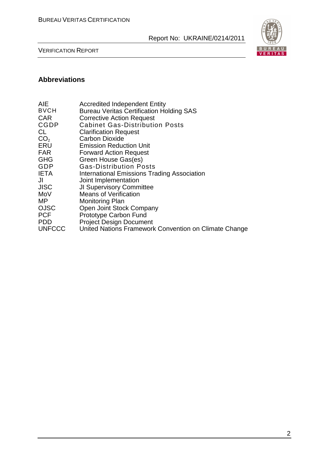

VERIFICATION REPORT

## **Abbreviations**

| <b>AIE</b>      | <b>Accredited Independent Entity</b>                  |
|-----------------|-------------------------------------------------------|
| <b>BVCH</b>     | <b>Bureau Veritas Certification Holding SAS</b>       |
| <b>CAR</b>      | <b>Corrective Action Request</b>                      |
| <b>CGDP</b>     | <b>Cabinet Gas-Distribution Posts</b>                 |
| CL              | <b>Clarification Request</b>                          |
| CO <sub>2</sub> | <b>Carbon Dioxide</b>                                 |
| ERU             | <b>Emission Reduction Unit</b>                        |
| <b>FAR</b>      | <b>Forward Action Request</b>                         |
| <b>GHG</b>      | Green House Gas(es)                                   |
| GDP             | <b>Gas-Distribution Posts</b>                         |
| <b>IETA</b>     | International Emissions Trading Association           |
| JI              | Joint Implementation                                  |
| <b>JISC</b>     | <b>JI Supervisory Committee</b>                       |
| MoV             | <b>Means of Verification</b>                          |
| MΡ              | Monitoring Plan                                       |
| <b>OJSC</b>     | Open Joint Stock Company                              |
| <b>PCF</b>      | Prototype Carbon Fund                                 |
| <b>PDD</b>      | <b>Project Design Document</b>                        |
| <b>UNFCCC</b>   | United Nations Framework Convention on Climate Change |
|                 |                                                       |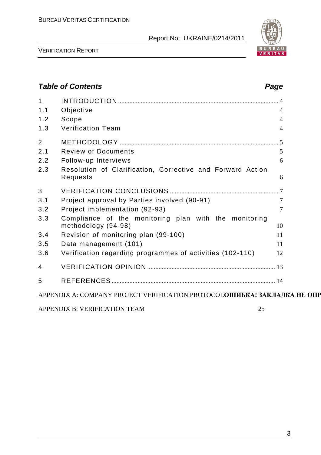

VERIFICATION REPORT

## **Table of Contents Page 2018** 1 INTRODUCTION ................................................................................................... 4 1.1 Objective 4 1.2 Scope 4 1.3 Verification Team 4 2 METHODOLOGY .................................................................................................. 5 2.1 Review of Documents 5 2.2 Follow-up Interviews 6 2.3 Resolution of Clarification, Corrective and Forward Action Requests 6 3 VERIFICATION CONCLUSIONS ................................................................... 7 3.1 Project approval by Parties involved (90-91) 7 3.2 Project implementation (92-93) 7 3.3 Compliance of the monitoring plan with the monitoring  $\mathsf{methodology}\ (94-98)$  10 3.4 Revision of monitoring plan (99-100) 11 3.5 Data management (101) 11 3.6 Verification regarding programmes of activities (102-110) 12 4 VERIFICATION OPINION ............................................................................... 13 5 REFERENCES ..................................................................................................... 14 APPENDIX A: COMPANY PROJECT VERIFICATION PROTOCOL**ОШИБКА! ЗАКЛАДКА НЕ ОПРЕДЕЛЕ** APPENDIX B: VERIFICATION TEAM 25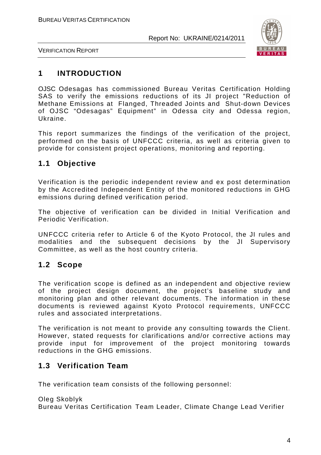

VERIFICATION REPORT

## **1 INTRODUCTION**

OJSC Odesagas has commissioned Bureau Veritas Certification Holding SAS to verify the emissions reductions of its JI project "Reduction of Methane Emissions at Flanged, Threaded Joints and Shut-down Devices of OJSC "Odesagas" Equipment" in Odessa city and Odessa region, Ukraine.

This report summarizes the findings of the verification of the project, performed on the basis of UNFCCC criteria, as well as criteria given to provide for consistent project operations, monitoring and reporting.

## **1.1 Objective**

Verification is the periodic independent review and ex post determination by the Accredited Independent Entity of the monitored reductions in GHG emissions during defined verification period.

The objective of verification can be divided in Initial Verification and Periodic Verification.

UNFCCC criteria refer to Article 6 of the Kyoto Protocol, the JI rules and modalities and the subsequent decisions by the JI Supervisory Committee, as well as the host country criteria.

## **1.2 Scope**

The verification scope is defined as an independent and objective review of the project design document, the project's baseline study and monitoring plan and other relevant documents. The information in these documents is reviewed against Kyoto Protocol requirements, UNFCCC rules and associated interpretations.

The verification is not meant to provide any consulting towards the Client. However, stated requests for clarifications and/or corrective actions may provide input for improvement of the project monitoring towards reductions in the GHG emissions.

## **1.3 Verification Team**

The verification team consists of the following personnel:

Oleg Skoblyk Bureau Veritas Certification Team Leader, Climate Change Lead Verifier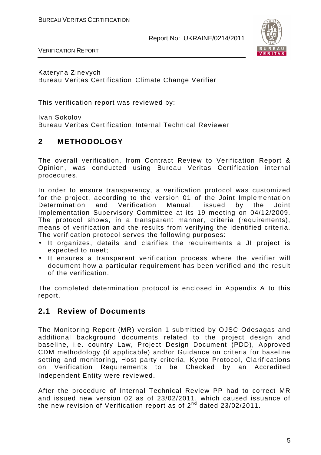

VERIFICATION REPORT

Kateryna Zinevych Bureau Veritas Certification Climate Change Verifier

This verification report was reviewed by:

Ivan Sokolov Bureau Veritas Certification, Internal Technical Reviewer

## **2 METHODOLOGY**

The overall verification, from Contract Review to Verification Report & Opinion, was conducted using Bureau Veritas Certification internal procedures.

In order to ensure transparency, a verification protocol was customized for the project, according to the version 01 of the Joint Implementation Determination and Verification Manual, issued by the Joint Implementation Supervisory Committee at its 19 meeting on 04/12/2009. The protocol shows, in a transparent manner, criteria (requirements), means of verification and the results from verifying the identified criteria. The verification protocol serves the following purposes:

- It organizes, details and clarifies the requirements a JI project is expected to meet;
- It ensures a transparent verification process where the verifier will document how a particular requirement has been verified and the result of the verification.

The completed determination protocol is enclosed in Appendix A to this report.

## **2.1 Review of Documents**

The Monitoring Report (MR) version 1 submitted by OJSC Odesagas and additional background documents related to the project design and baseline, i.e. country Law, Project Design Document (PDD), Approved CDM methodology (if applicable) and/or Guidance on criteria for baseline setting and monitoring, Host party criteria, Kyoto Protocol, Clarifications on Verification Requirements to be Checked by an Accredited Independent Entity were reviewed.

After the procedure of Internal Technical Review PP had to correct MR and issued new version 02 as of 23/02/2011, which caused issuance of the new revision of Verification report as of 2<sup>nd</sup> dated 23/02/2011.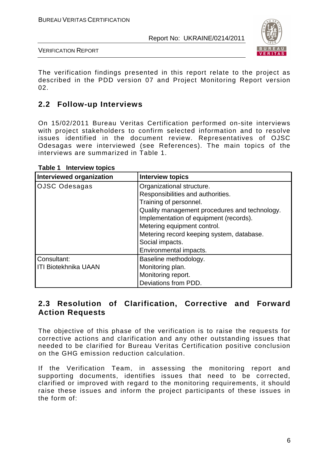

VERIFICATION REPORT

The verification findings presented in this report relate to the project as described in the PDD version 07 and Project Monitoring Report version 02.

## **2.2 Follow-up Interviews**

On 15/02/2011 Bureau Veritas Certification performed on-site interviews with project stakeholders to confirm selected information and to resolve issues identified in the document review. Representatives of OJSC Odesagas were interviewed (see References). The main topics of the interviews are summarized in Table 1.

| <b>Interviewed organization</b> | <b>Interview topics</b>                       |  |  |  |  |
|---------------------------------|-----------------------------------------------|--|--|--|--|
| <b>OJSC Odesagas</b>            | Organizational structure.                     |  |  |  |  |
|                                 | Responsibilities and authorities.             |  |  |  |  |
|                                 | Training of personnel.                        |  |  |  |  |
|                                 | Quality management procedures and technology. |  |  |  |  |
|                                 | Implementation of equipment (records).        |  |  |  |  |
|                                 | Metering equipment control.                   |  |  |  |  |
|                                 | Metering record keeping system, database.     |  |  |  |  |
|                                 | Social impacts.                               |  |  |  |  |
|                                 | Environmental impacts.                        |  |  |  |  |
| Consultant:                     | Baseline methodology.                         |  |  |  |  |
| <b>ITI Biotekhnika UAAN</b>     | Monitoring plan.                              |  |  |  |  |
|                                 | Monitoring report.                            |  |  |  |  |
|                                 | Deviations from PDD.                          |  |  |  |  |

**Table 1 Interview topics** 

## **2.3 Resolution of Clarification, Corrective and Forward Action Requests**

The objective of this phase of the verification is to raise the requests for corrective actions and clarification and any other outstanding issues that needed to be clarified for Bureau Veritas Certification positive conclusion on the GHG emission reduction calculation.

If the Verification Team, in assessing the monitoring report and supporting documents, identifies issues that need to be corrected, clarified or improved with regard to the monitoring requirements, it should raise these issues and inform the project participants of these issues in the form of: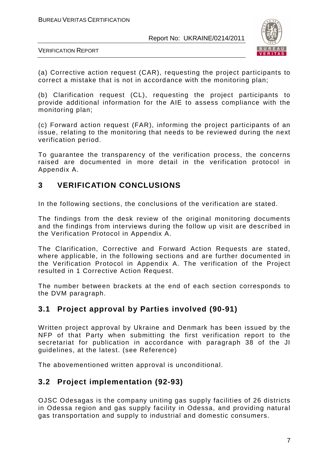

VERIFICATION REPORT

(a) Corrective action request (CAR), requesting the project participants to correct a mistake that is not in accordance with the monitoring plan;

(b) Clarification request (CL), requesting the project participants to provide additional information for the AIE to assess compliance with the monitoring plan;

(c) Forward action request (FAR), informing the project participants of an issue, relating to the monitoring that needs to be reviewed during the next verification period.

To guarantee the transparency of the verification process, the concerns raised are documented in more detail in the verification protocol in Appendix A.

## **3 VERIFICATION CONCLUSIONS**

In the following sections, the conclusions of the verification are stated.

The findings from the desk review of the original monitoring documents and the findings from interviews during the follow up visit are described in the Verification Protocol in Appendix A.

The Clarification, Corrective and Forward Action Requests are stated, where applicable, in the following sections and are further documented in the Verification Protocol in Appendix A. The verification of the Project resulted in 1 Corrective Action Request.

The number between brackets at the end of each section corresponds to the DVM paragraph.

## **3.1 Project approval by Parties involved (90-91)**

Written project approval by Ukraine and Denmark has been issued by the NFP of that Party when submitting the first verification report to the secretariat for publication in accordance with paragraph 38 of the JI guidelines, at the latest. (see Reference)

The abovementioned written approval is unconditional.

## **3.2 Project implementation (92-93)**

OJSC Odesagas is the company uniting gas supply facilities of 26 districts in Odessa region and gas supply facility in Odessa, and providing natural gas transportation and supply to industrial and domestic consumers.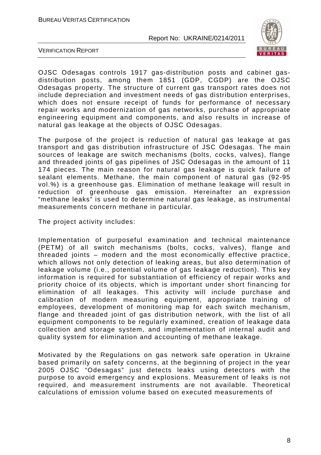

VERIFICATION REPORT

OJSC Odesagas controls 1917 gas-distribution posts and cabinet gasdistribution posts, among them 1851 (GDP, CGDP) are the OJSC Odesagas property. The structure of current gas transport rates does not include depreciation and investment needs of gas distribution enterprises, which does not ensure receipt of funds for performance of necessary repair works and modernization of gas networks, purchase of appropriate engineering equipment and components, and also results in increase of natural gas leakage at the objects of OJSC Odesagas.

The purpose of the project is reduction of natural gas leakage at gas transport and gas distribution infrastructure of JSC Odesagas. The main sources of leakage are switch mechanisms (bolts, cocks, valves), flange and threaded joints of gas pipelines of JSC Odesagas in the amount of 11 174 pieces. The main reason for natural gas leakage is quick failure of sealant elements. Methane, the main component of natural gas (92-95 vol.%) is a greenhouse gas. Elimination of methane leakage will result in reduction of greenhouse gas emission. Hereinafter an expression "methane leaks" is used to determine natural gas leakage, as instrumental measurements concern methane in particular.

The project activity includes:

Implementation of purposeful examination and technical maintenance (PETM) of all switch mechanisms (bolts, cocks, valves), flange and threaded joints – modern and the most economically effective practice, which allows not only detection of leaking areas, but also determination of leakage volume (i.e., potential volume of gas leakage reduction). This key information is required for substantiation of efficiency of repair works and priority choice of its objects, which is important under short financing for elimination of all leakages. This activity will include purchase and calibration of modern measuring equipment, appropriate training of employees, development of monitoring map for each switch mechanism, flange and threaded joint of gas distribution network, with the list of all equipment components to be regularly examined, creation of leakage data collection and storage system, and implementation of internal audit and quality system for elimination and accounting of methane leakage.

Motivated by the Regulations on gas network safe operation in Ukraine based primarily on safety concerns, at the beginning of project in the year 2005 OJSC "Odesagas" just detects leaks using detectors with the purpose to avoid emergency and explosions. Measurement of leaks is not required, and measurement instruments are not available. Theoretical calculations of emission volume based on executed measurements of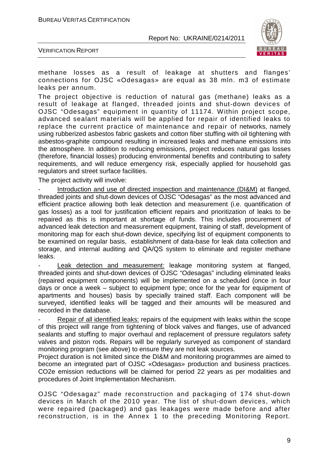BUREAU VERITAS CERTIFICATION

Report No: UKRAINE/0214/2011



VERIFICATION REPORT

methane losses as a result of leakage at shutters and flanges' connections for OJSC «Odesagas» are equal as 38 mln. m3 of estimate leaks per annum.

The project objective is reduction of natural gas (methane) leaks as a result of leakage at flanged, threaded joints and shut-down devices of OJSC "Odesagas" equipment in quantity of 11174. Within project scope, advanced sealant materials will be applied for repair of identified leaks to replace the current practice of maintenance and repair of networks, namely using rubberized asbestos fabric gaskets and cotton fiber stuffing with oil tightening with asbestos-graphite compound resulting in increased leaks and methane emissions into the atmosphere. In addition to reducing emissions, project reduces natural gas losses (therefore, financial losses) producing environmental benefits and contributing to safety requirements, and will reduce emergency risk, especially applied for household gas regulators and street surface facilities.

The project activity will involve:

Introduction and use of directed inspection and maintenance (DI&M) at flanged, threaded joints and shut-down devices of OJSC "Odesagas" as the most advanced and efficient practice allowing both leak detection and measurement (i.e. quantification of gas losses) as a tool for justification efficient repairs and prioritization of leaks to be repaired as this is important at shortage of funds. This includes procurement of advanced leak detection and measurement equipment, training of staff, development of monitoring map for each shut-down device, specifying list of equipment components to be examined on regular basis, establishment of data-base for leak data collection and storage, and internal auditing and QA/QS system to eliminate and register methane leaks.

Leak detection and measurement: leakage monitoring system at flanged, threaded joints and shut-down devices of OJSC "Odesagas" including eliminated leaks (repaired equipment components) will be implemented on a scheduled (once in four days or once a week – subject to equipment type; once for the year for equipment of apartments and houses) basis by specially trained staff. Each component will be surveyed, identified leaks will be tagged and their amounts will be measured and recorded in the database.

Repair of all identified leaks: repairs of the equipment with leaks within the scope of this project will range from tightening of block valves and flanges, use of advanced sealants and stuffing to major overhaul and replacement of pressure regulators safety valves and piston rods. Repairs will be regularly surveyed as component of standard monitoring program (see above) to ensure they are not leak sources.

Project duration is not limited since the DI&M and monitoring programmes are aimed to become an integrated part of OJSC «Odesagas» production and business practices. CO2e emission reductions will be claimed for period 22 years as per modalities and procedures of Joint Implementation Mechanism.

OJSC "Odesagaz" made reconstruction and packaging of 174 shut-down devices in March of the 2010 year. The list of shut-down devices, which were repaired (packaged) and gas leakages were made before and after reconstruction, is in the Annex 1 to the preceding Monitoring Report.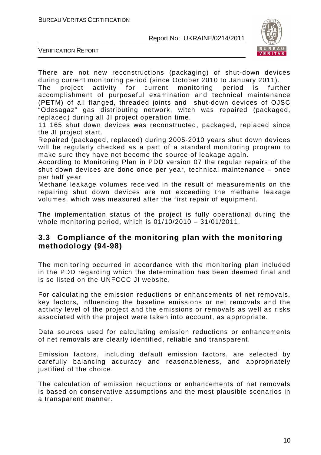

VERIFICATION REPORT

There are not new reconstructions (packaging) оf shut-down devices during current monitoring period (since October 2010 to January 2011).

The project activity for current monitoring period is further accomplishment of purposeful examination and technical maintenance (PETM) of all flanged, threaded joints and shut-down devices of OJSC "Odesagaz" gas distributing network, witch was repaired (packaged, replaced) during all JI project operation time.

11 165 shut down devices was reconstructed, packaged, replaced since the JI project start.

Repaired (packaged, replaced) during 2005-2010 years shut down devices will be regularly checked as a part of a standard monitoring program to make sure they have not become the source of leakage again.

According to Monitoring Plan in PDD version 07 the regular repairs оf the shut down devices are done once per year, technical maintenance – once per half year.

Methane leakage volumes received in the result of measurements on the repairing shut down devices are not exceeding the methane leakage volumes, which was measured after the first repair of equipment.

The implementation status of the project is fully operational during the whole monitoring period, which is 01/10/2010 – 31/01/2011.

## **3.3 Compliance of the monitoring plan with the monitoring methodology (94-98)**

The monitoring occurred in accordance with the monitoring plan included in the PDD regarding which the determination has been deemed final and is so listed on the UNFCCC JI website.

For calculating the emission reductions or enhancements of net removals, key factors, influencing the baseline emissions or net removals and the activity level of the project and the emissions or removals as well as risks associated with the project were taken into account, as appropriate.

Data sources used for calculating emission reductions or enhancements of net removals are clearly identified, reliable and transparent.

Emission factors, including default emission factors, are selected by carefully balancing accuracy and reasonableness, and appropriately justified of the choice.

The calculation of emission reductions or enhancements of net removals is based on conservative assumptions and the most plausible scenarios in a transparent manner.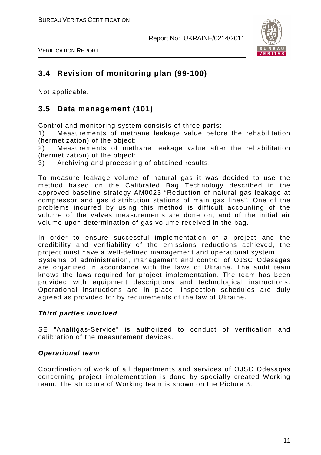

VERIFICATION REPORT

## **3.4 Revision of monitoring plan (99-100)**

Not applicable.

## **3.5 Data management (101)**

Control and monitoring system consists of three parts:

1) Measurements of methane leakage value before the rehabilitation (hermetization) of the object;

2) Measurements of methane leakage value after the rehabilitation (hermetization) of the object;

3) Archiving and processing of obtained results.

To measure leakage volume of natural gas it was decided to use the method based on the Calibrated Bag Technology described in the approved baseline strategy AM0023 "Reduction of natural gas leakage at compressor and gas distribution stations of main gas lines". One of the problems incurred by using this method is difficult accounting of the volume of the valves measurements are done on, and of the initial air volume upon determination of gas volume received in the bag.

In order to ensure successful implementation of a project and the credibility and verifiability of the emissions reductions achieved, the project must have a well-defined management and operational system.

Systems of administration, management and control of OJSC Odesagas are organized in accordance with the laws of Ukraine. The audit team knows the laws required for project implementation. The team has been provided with equipment descriptions and technological instructions. Operational instructions are in place. Inspection schedules are duly agreed as provided for by requirements of the law of Ukraine.

### **Third parties involved**

SE "Analitgas-Service" is authorized to conduct of verification and calibration of the measurement devices.

### **Operational team**

Coordination of work of all departments and services of OJSC Odesagas concerning project implementation is done by specially created Working team. The structure of Working team is shown on the Picture 3.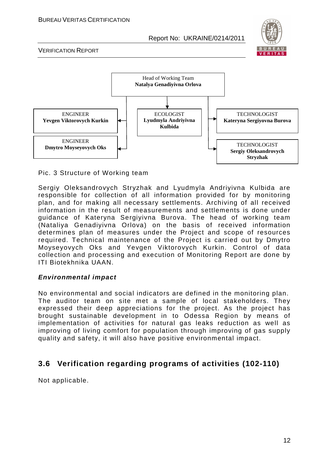

VERIFICATION REPORT



Pic. 3 Structure of Working team

Sergiy Oleksandrovych Stryzhak and Lyudmyla Andriyivna Kulbida are responsible for collection of all information provided for by monitoring plan, and for making all necessary settlements. Archiving of all received information in the result of measurements and settlements is done under guidance of Kateryna Sergiyivna Burova. The head of working team (Nataliya Genadiyivna Orlova) on the basis of received information determines plan of measures under the Project and scope of resources required. Technical maintenance of the Project is carried out by Dmytro Moyseyovych Oks and Yevgen Viktorovych Kurkin. Control of data collection and processing and execution of Monitoring Report are done by ITI Biotekhnika UAAN.

### **Environmental impact**

No environmental and social indicators are defined in the monitoring plan. The auditor team on site met a sample of local stakeholders. They expressed their deep appreciations for the project. As the project has brought sustainable development in to Odessa Region by means of implementation of activities for natural gas leaks reduction as well as improving of living comfort for population through improving of gas supply quality and safety, it will also have positive environmental impact.

## **3.6 Verification regarding programs of activities (102-110)**

Not applicable.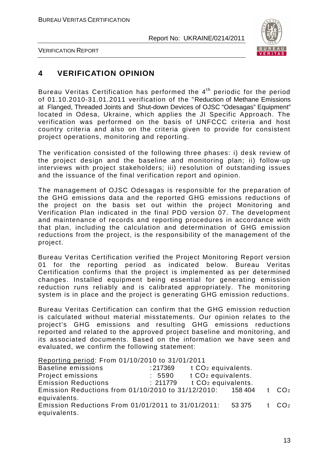

VERIFICATION REPORT

## **4 VERIFICATION OPINION**

Bureau Veritas Certification has performed the 4<sup>th</sup> periodic for the period of 01.10.2010-31.01.2011 verification of the "Reduction of Methane Emissions at Flanged, Threaded Joints and Shut-down Devices of OJSC "Odesagas" Equipment" located in Odesa, Ukraine, which applies the JI Specific Approach. The verification was performed on the basis of UNFCCC criteria and host country criteria and also on the criteria given to provide for consistent project operations, monitoring and reporting.

The verification consisted of the following three phases: i) desk review of the project design and the baseline and monitoring plan; ii) follow-up interviews with project stakeholders; iii) resolution of outstanding issues and the issuance of the final verification report and opinion.

The management of OJSC Odesagas is responsible for the preparation of the GHG emissions data and the reported GHG emissions reductions of the project on the basis set out within the project Monitoring and Verification Plan indicated in the final PDD version 07. The development and maintenance of records and reporting procedures in accordance with that plan, including the calculation and determination of GHG emission reductions from the project, is the responsibility of the management of the project.

Bureau Veritas Certification verified the Project Monitoring Report version 01 for the reporting period as indicated below. Bureau Veritas Certification confirms that the project is implemented as per determined changes. Installed equipment being essential for generating emission reduction runs reliably and is calibrated appropriately. The monitoring system is in place and the project is generating GHG emission reductions.

Bureau Veritas Certification can confirm that the GHG emission reduction is calculated without material misstatements. Our opinion relates to the project's GHG emissions and resulting GHG emissions reductions reported and related to the approved project baseline and monitoring, and its associated documents. Based on the information we have seen and evaluated, we confirm the following statement:

Reporting period: From 01/10/2010 to 31/01/2011

| <b>Baseline emissions</b>                          | : 217369 | t CO <sub>2</sub> equivalents. |         |                   |
|----------------------------------------------------|----------|--------------------------------|---------|-------------------|
| Project emissions                                  | : 5590   | t CO <sub>2</sub> equivalents. |         |                   |
| <b>Emission Reductions</b>                         | :211779  | t CO <sub>2</sub> equivalents. |         |                   |
| Emission Reductions from 01/10/2010 to 31/12/2010: |          |                                | 158 404 | t CO <sub>2</sub> |
| equivalents.                                       |          |                                |         |                   |
| Emission Reductions From 01/01/2011 to 31/01/2011: |          |                                | 53 375  | t CO <sub>2</sub> |
| equivalents.                                       |          |                                |         |                   |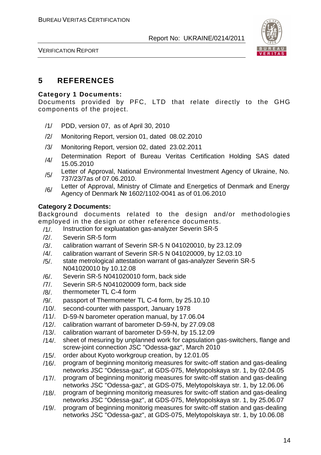

VERIFICATION REPORT

## **5 REFERENCES**

#### **Category 1 Documents:**

Documents provided by PFC, LTD that relate directly to the GHG components of the project.

- /1/ PDD, version 07, as of April 30, 2010
- /2/ Monitoring Report, version 01, dated 08.02.2010
- /3/ Monitoring Report, version 02, dated 23.02.2011
- /4/ Determination Report of Bureau Veritas Certification Holding SAS dated 15.05.2010
- Letter of Approval, National Environmental Investment Agency of Ukraine, No. 737/23/7as of 07.06.2010.
- /6/ Letter of Approval, Ministry of Climate and Energetics of Denmark and Energy Agency of Denmark № 1602/1102-0041 as of 01.06.2010

#### **Category 2 Documents:**

Background documents related to the design and/or methodologies employed in the design or other reference documents.

- /1/. Instruction for expluatation gas-analyzer Severin SR-5
- /2/. Severin SR-5 form
- /3/. calibration warrant of Severin SR-5 N 041020010, by 23.12.09
- /4/. calibration warrant of Severin SR-5 N 041020009, by 12.03.10
- /5/. state metrological attestation warrant of gas-analyzer Severin SR-5 N041020010 by 10.12.08
- /6/. Severin SR-5 N041020010 form, back side
- /7/. Severin SR-5 N041020009 form, back side
- /8/. thermometer TL C-4 form
- /9/. passport of Thermometer TL C-4 form, by 25.10.10
- /10/. second-counter with passport, January 1978
- /11/. D-59-N barometer operation manual, by 17.06.04
- /12/. calibration warrant of barometer D-59-N, by 27.09.08
- /13/. calibration warrant of barometer D-59-N, by 15.12.09
- /14/. sheet of mesuring by unplanned work for capsulation gas-switchers, flange and screw-joint connection JSC "Odessa-gaz", March 2010
- /15/. order about Kyoto workgroup creation, by 12.01.05
- /16/. program of beginning monitorig measures for switc-off station and gas-dealing networks JSC "Odessa-gaz", at GDS-075, Melytopolskaya str. 1, by 02.04.05
- /17/. program of beginning monitorig measures for switc-off station and gas-dealing networks JSC "Odessa-gaz", at GDS-075, Melytopolskaya str. 1, by 12.06.06
- /18/. program of beginning monitorig measures for switc-off station and gas-dealing networks JSC "Odessa-gaz", at GDS-075, Melytopolskaya str. 1, by 25.06.07
- /19/. program of beginning monitorig measures for switc-off station and gas-dealing networks JSC "Odessa-gaz", at GDS-075, Melytopolskaya str. 1, by 10.06.08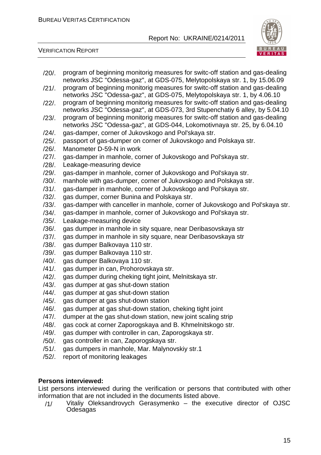/20/. program of beginning monitorig measures for switc-off station and gas-dealing

/21/. program of beginning monitorig measures for switc-off station and gas-dealing

networks JSC "Odessa-gaz", at GDS-075, Melytopolskaya str. 1, by 15.06.09



VERIFICATION REPORT

networks JSC "Odessa-gaz", at GDS-075, Melytopolskaya str. 1, by 4.06.10 /22/. program of beginning monitorig measures for switc-off station and gas-dealing networks JSC "Odessa-gaz", at GDS-073, 3rd Stupenchatiy 6 alley, by 5.04.10 /23/. program of beginning monitorig measures for switc-off station and gas-dealing networks JSC "Odessa-gaz", at GDS-044, Lokomotivnaya str. 25, by 6.04.10 /24/. gas-damper, corner of Jukovskogo and Pol'skaya str. /25/. passport of gas-dumper on corner of Jukovskogo and Polskaya str. /26/. Manometer D-59-N in work /27/. gas-damper in manhole, corner of Jukovskogo and Pol'skaya str. /28/. Leakage-measuring device /29/. gas-damper in manhole, corner of Jukovskogo and Pol'skaya str. /30/. manhole with gas-dumper, corner of Jukovskogo and Polskaya str. /31/. gas-damper in manhole, corner of Jukovskogo and Pol'skaya str. /32/. gas dumper, corner Bunina and Polskaya str. /33/. gas-damper with canceller in manhole, corner of Jukovskogo and Pol'skaya str. /34/. gas-damper in manhole, corner of Jukovskogo and Pol'skaya str. /35/. Leakage-measuring device /36/. gas dumper in manhole in sity square, near Deribasovskaya str /37/. gas dumper in manhole in sity square, near Deribasovskaya str /38/. gas dumper Balkovaya 110 str. /39/. gas dumper Balkovaya 110 str. /40/. gas dumper Balkovaya 110 str. /41/. gas dumper in can, Prohorovskaya str. /42/. gas dumper during cheking tight joint, Melnitskaya str. /43/. gas dumper at gas shut-down station /44/. gas dumper at gas shut-down station /45/. gas dumper at gas shut-down station /46/. gas dumper at gas shut-down station, cheking tight joint /47/. dumper at the gas shut-down station, new joint scaling strip /48/. gas cock at corner Zaporogskaya and B. Khmelnitskogo str. /49/. gas dumper with controller in can, Zaporogskaya str. /50/. gas controller in can, Zaporogskaya str. /51/. gas dumpers in manhole, Mar. Malynovskiy str.1 /52/. report of monitoring leakages **Persons interviewed:**  List persons interviewed during the verification or persons that contributed with other information that are not included in the documents listed above. /1/ Vitaliy Oleksandrovych Gerasymenko – the executive director of OJSC Odesagas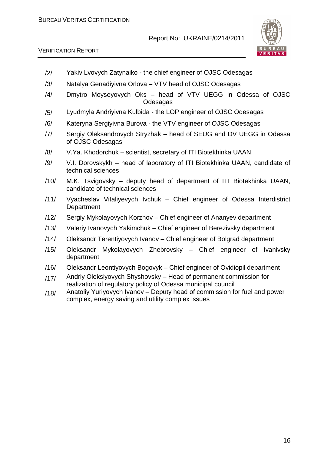

- /2/ Yakiv Lvovych Zatynaiko the chief engineer of OJSC Odesagas
- /3/ Natalya Genadiyivna Orlova VTV head of OJSC Odesagas
- /4/ Dmytro Moyseyovych Oks head of VTV UEGG in Odessa of OJSC Odesagas
- /5/ Lyudmyla Andriyivna Kulbida the LOP engineer of OJSC Odesagas
- /6/ Kateryna Sergiyivna Burova the VTV engineer of OJSC Odesagas
- /7/ Sergiy Oleksandrovych Stryzhak head of SEUG and DV UEGG in Odessa of OJSC Odesagas
- /8/ V.Ya. Khodorchuk scientist, secretary of ITI Biotekhinka UAAN.
- /9/ V.I. Dorovskykh head of laboratory of ITI Biotekhinka UAAN, candidate of technical sciences
- /10/ M.K. Tsvigovsky deputy head of department of ITI Biotekhinka UAAN, candidate of technical sciences
- /11/ Vyacheslav Vitaliyevych Ivchuk Chief engineer of Odessa Interdistrict **Department**
- /12/ Sergiy Mykolayovych Korzhov Chief engineer of Ananyev department
- /13/ Valeriy Ivanovych Yakimchuk Chief engineer of Berezivsky department
- /14/ Oleksandr Terentiyovych Ivanov Chief engineer of Bolgrad department
- /15/ Oleksandr Mykolayovych Zhebrovsky Chief engineer of Ivanivsky department
- /16/ Oleksandr Leontiyovych Bogovyk Chief engineer of Ovidiopil department
- /17/ Andriy Oleksiyovych Shyshovsky Head of permanent commission for realization of regulatory policy of Odessa municipal council
- /18/ Anatoliy Yuriyovych Ivanov Deputy head of commission for fuel and power complex, energy saving and utility complex issues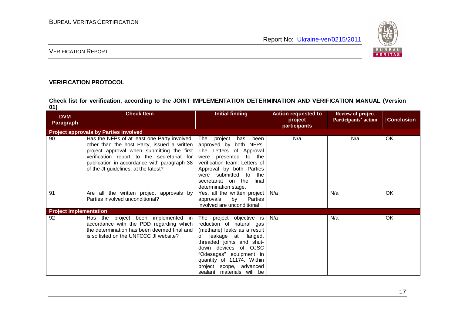

#### VERIFICATION REPORT

#### **VERIFICATION PROTOCOL**

**Check list for verification, according to the JOINT IMPLEMENTATION DETERMINATION AND VERIFICATION MANUAL (Version 01)** 

| <b>DVM</b>                    | <b>Check Item</b>                                                                                                                                                                                                                                                              | <b>Initial finding</b>                                                                                                                                                                                                                                                             | <b>Action requested to</b> | <b>Review of project</b>    |                   |
|-------------------------------|--------------------------------------------------------------------------------------------------------------------------------------------------------------------------------------------------------------------------------------------------------------------------------|------------------------------------------------------------------------------------------------------------------------------------------------------------------------------------------------------------------------------------------------------------------------------------|----------------------------|-----------------------------|-------------------|
| <b>Paragraph</b>              |                                                                                                                                                                                                                                                                                |                                                                                                                                                                                                                                                                                    | project<br>participants    | <b>Participants' action</b> | <b>Conclusion</b> |
|                               | <b>Project approvals by Parties involved</b>                                                                                                                                                                                                                                   |                                                                                                                                                                                                                                                                                    |                            |                             |                   |
| 90                            | Has the NFPs of at least one Party involved,<br>other than the host Party, issued a written<br>project approval when submitting the first<br>verification report to the secretariat for<br>publication in accordance with paragraph 38<br>of the JI guidelines, at the latest? | The project<br>been<br>has<br>approved by both NFPs.<br>The Letters of Approval<br>were presented to the<br>verification team. Letters of<br>Approval by both Parties<br>were submitted to the<br>secretariat on the<br>final<br>determination stage.                              | N/a                        | N/a                         | OK.               |
| 91                            | Are all the written project approvals by<br>Parties involved unconditional?                                                                                                                                                                                                    | Yes, all the written project<br>by<br>Parties<br>approvals<br>involved are unconditional.                                                                                                                                                                                          | N/a                        | N/a                         | OK                |
| <b>Project implementation</b> |                                                                                                                                                                                                                                                                                |                                                                                                                                                                                                                                                                                    |                            |                             |                   |
| 92                            | Has the project been implemented in<br>accordance with the PDD regarding which<br>the determination has been deemed final and<br>is so listed on the UNFCCC JI website?                                                                                                        | The project objective is<br>reduction of natural gas<br>(methane) leaks as a result<br>of leakage at flanged,<br>threaded joints and shut-<br>down devices of OJSC<br>"Odesagas" equipment in<br>quantity of 11174. Within<br>project scope, advanced<br>sealant materials will be | N/a                        | N/a                         | <b>OK</b>         |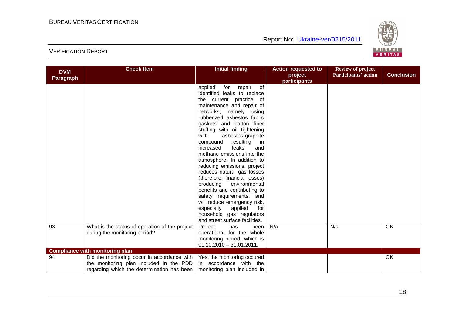

| participants<br>applied<br>for<br>of<br>repair<br>identified leaks to replace<br>the current practice of<br>maintenance and repair of<br>networks, namely using<br>rubberized asbestos fabric<br>gaskets and cotton fiber<br>stuffing with oil tightening<br>with<br>asbestos-graphite<br>resulting<br>compound<br>in<br>leaks<br>increased<br>and<br>methane emissions into the<br>atmosphere. In addition to<br>reducing emissions, project<br>reduces natural gas losses<br>(therefore, financial losses)<br>producing<br>environmental<br>benefits and contributing to<br>safety requirements, and<br>will reduce emergency risk,<br>applied<br>especially<br>for<br>household gas regulators<br>and street surface facilities.<br>N/a<br>OK<br>93<br>What is the status of operation of the project<br>Project<br>has<br>been<br>N/a<br>during the monitoring period?<br>operational for the whole<br>monitoring period, which is<br>$01.10.2010 - 31.01.2011.$<br><b>Compliance with monitoring plan</b><br>Did the monitoring occur in accordance with<br>OK<br>Yes, the monitoring occured<br>94<br>the monitoring plan included in the PDD<br>in accordance with the | <b>DVM</b> | <b>Check Item</b>                          | <b>Initial finding</b>      | <b>Action requested to</b><br>project | <b>Review of project</b><br>Participants' action | <b>Conclusion</b> |
|-------------------------------------------------------------------------------------------------------------------------------------------------------------------------------------------------------------------------------------------------------------------------------------------------------------------------------------------------------------------------------------------------------------------------------------------------------------------------------------------------------------------------------------------------------------------------------------------------------------------------------------------------------------------------------------------------------------------------------------------------------------------------------------------------------------------------------------------------------------------------------------------------------------------------------------------------------------------------------------------------------------------------------------------------------------------------------------------------------------------------------------------------------------------------------|------------|--------------------------------------------|-----------------------------|---------------------------------------|--------------------------------------------------|-------------------|
|                                                                                                                                                                                                                                                                                                                                                                                                                                                                                                                                                                                                                                                                                                                                                                                                                                                                                                                                                                                                                                                                                                                                                                               | Paragraph  |                                            |                             |                                       |                                                  |                   |
|                                                                                                                                                                                                                                                                                                                                                                                                                                                                                                                                                                                                                                                                                                                                                                                                                                                                                                                                                                                                                                                                                                                                                                               |            |                                            |                             |                                       |                                                  |                   |
|                                                                                                                                                                                                                                                                                                                                                                                                                                                                                                                                                                                                                                                                                                                                                                                                                                                                                                                                                                                                                                                                                                                                                                               |            |                                            |                             |                                       |                                                  |                   |
|                                                                                                                                                                                                                                                                                                                                                                                                                                                                                                                                                                                                                                                                                                                                                                                                                                                                                                                                                                                                                                                                                                                                                                               |            |                                            |                             |                                       |                                                  |                   |
|                                                                                                                                                                                                                                                                                                                                                                                                                                                                                                                                                                                                                                                                                                                                                                                                                                                                                                                                                                                                                                                                                                                                                                               |            |                                            |                             |                                       |                                                  |                   |
|                                                                                                                                                                                                                                                                                                                                                                                                                                                                                                                                                                                                                                                                                                                                                                                                                                                                                                                                                                                                                                                                                                                                                                               |            |                                            |                             |                                       |                                                  |                   |
|                                                                                                                                                                                                                                                                                                                                                                                                                                                                                                                                                                                                                                                                                                                                                                                                                                                                                                                                                                                                                                                                                                                                                                               |            |                                            |                             |                                       |                                                  |                   |
|                                                                                                                                                                                                                                                                                                                                                                                                                                                                                                                                                                                                                                                                                                                                                                                                                                                                                                                                                                                                                                                                                                                                                                               |            |                                            |                             |                                       |                                                  |                   |
|                                                                                                                                                                                                                                                                                                                                                                                                                                                                                                                                                                                                                                                                                                                                                                                                                                                                                                                                                                                                                                                                                                                                                                               |            |                                            |                             |                                       |                                                  |                   |
|                                                                                                                                                                                                                                                                                                                                                                                                                                                                                                                                                                                                                                                                                                                                                                                                                                                                                                                                                                                                                                                                                                                                                                               |            |                                            |                             |                                       |                                                  |                   |
|                                                                                                                                                                                                                                                                                                                                                                                                                                                                                                                                                                                                                                                                                                                                                                                                                                                                                                                                                                                                                                                                                                                                                                               |            |                                            |                             |                                       |                                                  |                   |
|                                                                                                                                                                                                                                                                                                                                                                                                                                                                                                                                                                                                                                                                                                                                                                                                                                                                                                                                                                                                                                                                                                                                                                               |            |                                            |                             |                                       |                                                  |                   |
|                                                                                                                                                                                                                                                                                                                                                                                                                                                                                                                                                                                                                                                                                                                                                                                                                                                                                                                                                                                                                                                                                                                                                                               |            |                                            |                             |                                       |                                                  |                   |
|                                                                                                                                                                                                                                                                                                                                                                                                                                                                                                                                                                                                                                                                                                                                                                                                                                                                                                                                                                                                                                                                                                                                                                               |            |                                            |                             |                                       |                                                  |                   |
|                                                                                                                                                                                                                                                                                                                                                                                                                                                                                                                                                                                                                                                                                                                                                                                                                                                                                                                                                                                                                                                                                                                                                                               |            |                                            |                             |                                       |                                                  |                   |
|                                                                                                                                                                                                                                                                                                                                                                                                                                                                                                                                                                                                                                                                                                                                                                                                                                                                                                                                                                                                                                                                                                                                                                               |            |                                            |                             |                                       |                                                  |                   |
|                                                                                                                                                                                                                                                                                                                                                                                                                                                                                                                                                                                                                                                                                                                                                                                                                                                                                                                                                                                                                                                                                                                                                                               |            |                                            |                             |                                       |                                                  |                   |
|                                                                                                                                                                                                                                                                                                                                                                                                                                                                                                                                                                                                                                                                                                                                                                                                                                                                                                                                                                                                                                                                                                                                                                               |            |                                            |                             |                                       |                                                  |                   |
|                                                                                                                                                                                                                                                                                                                                                                                                                                                                                                                                                                                                                                                                                                                                                                                                                                                                                                                                                                                                                                                                                                                                                                               |            |                                            |                             |                                       |                                                  |                   |
|                                                                                                                                                                                                                                                                                                                                                                                                                                                                                                                                                                                                                                                                                                                                                                                                                                                                                                                                                                                                                                                                                                                                                                               |            |                                            |                             |                                       |                                                  |                   |
|                                                                                                                                                                                                                                                                                                                                                                                                                                                                                                                                                                                                                                                                                                                                                                                                                                                                                                                                                                                                                                                                                                                                                                               |            |                                            |                             |                                       |                                                  |                   |
|                                                                                                                                                                                                                                                                                                                                                                                                                                                                                                                                                                                                                                                                                                                                                                                                                                                                                                                                                                                                                                                                                                                                                                               |            |                                            |                             |                                       |                                                  |                   |
|                                                                                                                                                                                                                                                                                                                                                                                                                                                                                                                                                                                                                                                                                                                                                                                                                                                                                                                                                                                                                                                                                                                                                                               |            |                                            |                             |                                       |                                                  |                   |
|                                                                                                                                                                                                                                                                                                                                                                                                                                                                                                                                                                                                                                                                                                                                                                                                                                                                                                                                                                                                                                                                                                                                                                               |            |                                            |                             |                                       |                                                  |                   |
|                                                                                                                                                                                                                                                                                                                                                                                                                                                                                                                                                                                                                                                                                                                                                                                                                                                                                                                                                                                                                                                                                                                                                                               |            |                                            |                             |                                       |                                                  |                   |
|                                                                                                                                                                                                                                                                                                                                                                                                                                                                                                                                                                                                                                                                                                                                                                                                                                                                                                                                                                                                                                                                                                                                                                               |            |                                            |                             |                                       |                                                  |                   |
|                                                                                                                                                                                                                                                                                                                                                                                                                                                                                                                                                                                                                                                                                                                                                                                                                                                                                                                                                                                                                                                                                                                                                                               |            |                                            |                             |                                       |                                                  |                   |
|                                                                                                                                                                                                                                                                                                                                                                                                                                                                                                                                                                                                                                                                                                                                                                                                                                                                                                                                                                                                                                                                                                                                                                               |            |                                            |                             |                                       |                                                  |                   |
|                                                                                                                                                                                                                                                                                                                                                                                                                                                                                                                                                                                                                                                                                                                                                                                                                                                                                                                                                                                                                                                                                                                                                                               |            |                                            |                             |                                       |                                                  |                   |
|                                                                                                                                                                                                                                                                                                                                                                                                                                                                                                                                                                                                                                                                                                                                                                                                                                                                                                                                                                                                                                                                                                                                                                               |            |                                            |                             |                                       |                                                  |                   |
|                                                                                                                                                                                                                                                                                                                                                                                                                                                                                                                                                                                                                                                                                                                                                                                                                                                                                                                                                                                                                                                                                                                                                                               |            | regarding which the determination has been | monitoring plan included in |                                       |                                                  |                   |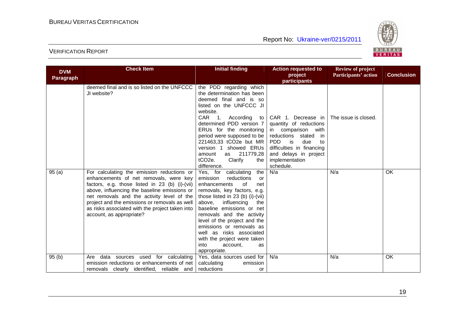

| <b>DVM</b>       | <b>Check Item</b>                                                                              | <b>Initial finding</b>                                   | <b>Action requested to</b>    | <b>Review of project</b> |                   |
|------------------|------------------------------------------------------------------------------------------------|----------------------------------------------------------|-------------------------------|--------------------------|-------------------|
| <b>Paragraph</b> |                                                                                                |                                                          | project                       | Participants' action     | <b>Conclusion</b> |
|                  |                                                                                                |                                                          | participants                  |                          |                   |
|                  | deemed final and is so listed on the UNFCCC                                                    | the PDD regarding which                                  |                               |                          |                   |
|                  | JI website?                                                                                    | the determination has been                               |                               |                          |                   |
|                  |                                                                                                | deemed final and is so                                   |                               |                          |                   |
|                  |                                                                                                | listed on the UNFCCC JI                                  |                               |                          |                   |
|                  |                                                                                                | website.                                                 |                               |                          |                   |
|                  |                                                                                                | CAR 1.<br>According<br>to                                | CAR 1. Decrease in I          | The issue is closed.     |                   |
|                  |                                                                                                | determined PDD version 7                                 | quantity of reductions        |                          |                   |
|                  |                                                                                                | ERUs for the monitoring                                  | in comparison<br>with         |                          |                   |
|                  |                                                                                                | period were supposed to be                               | reductions stated<br>in       |                          |                   |
|                  |                                                                                                | 221463,33 tCO2e but MR                                   | <b>PDD</b><br>is<br>due<br>to |                          |                   |
|                  |                                                                                                | version 1 showed ERUs                                    | difficulties in financing     |                          |                   |
|                  |                                                                                                | 211779,28<br>amount<br>as                                | and delays in project         |                          |                   |
|                  |                                                                                                | tCO <sub>2</sub> e.<br>Clarify<br>the                    | implementation                |                          |                   |
|                  |                                                                                                | difference.                                              | schedule.                     |                          |                   |
| 95(a)            | For calculating the emission reductions or                                                     | the<br>Yes, for calculating                              | N/a                           | N/a                      | <b>OK</b>         |
|                  | enhancements of net removals, were key                                                         | emission<br>reductions<br>or                             |                               |                          |                   |
|                  | factors, e.g. those listed in 23 (b) (i)-(vii)<br>above, influencing the baseline emissions or | enhancements<br>of<br>net<br>removals, key factors, e.g. |                               |                          |                   |
|                  | net removals and the activity level of the                                                     | those listed in $23$ (b) (i)-(vii)                       |                               |                          |                   |
|                  | project and the emissions or removals as well                                                  | above,<br>influencing<br>the                             |                               |                          |                   |
|                  | as risks associated with the project taken into                                                | baseline emissions or net                                |                               |                          |                   |
|                  | account, as appropriate?                                                                       | removals and the activity                                |                               |                          |                   |
|                  |                                                                                                | level of the project and the                             |                               |                          |                   |
|                  |                                                                                                | emissions or removals as                                 |                               |                          |                   |
|                  |                                                                                                | well as risks associated                                 |                               |                          |                   |
|                  |                                                                                                | with the project were taken                              |                               |                          |                   |
|                  |                                                                                                | into<br>account.<br>as                                   |                               |                          |                   |
|                  |                                                                                                | appropriate.                                             |                               |                          |                   |
| 95(b)            | used for calculating<br>data sources<br>Are                                                    | Yes, data sources used for                               | N/a                           | N/a                      | OK                |
|                  | emission reductions or enhancements of net                                                     | calculating<br>emission                                  |                               |                          |                   |
|                  | removals clearly identified, reliable and                                                      | reductions<br>or                                         |                               |                          |                   |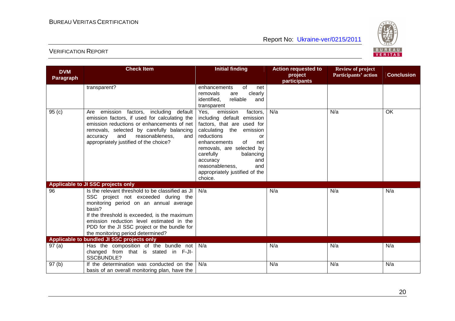

| <b>DVM</b>        | <b>Check Item</b>                                                                       | <b>Initial finding</b>                                 | <b>Action requested to</b> | <b>Review of project</b> |                   |
|-------------------|-----------------------------------------------------------------------------------------|--------------------------------------------------------|----------------------------|--------------------------|-------------------|
| <b>Paragraph</b>  |                                                                                         |                                                        | project                    | Participants' action     | <b>Conclusion</b> |
|                   | transparent?                                                                            | enhancements<br>0f<br>net                              | participants               |                          |                   |
|                   |                                                                                         | removals<br>clearly<br>are                             |                            |                          |                   |
|                   |                                                                                         | identified,<br>reliable<br>and                         |                            |                          |                   |
|                   |                                                                                         | transparent                                            |                            |                          |                   |
| 95(c)             | emission factors, including default<br>Are                                              | Yes,<br>emission<br>factors,                           | N/a                        | N/a                      | OK                |
|                   | emission factors, if used for calculating the                                           | including default emission                             |                            |                          |                   |
|                   | emission reductions or enhancements of net<br>removals, selected by carefully balancing | factors, that are used for<br>calculating the emission |                            |                          |                   |
|                   | and<br>reasonableness,<br>accuracy<br>and                                               | reductions<br>or                                       |                            |                          |                   |
|                   | appropriately justified of the choice?                                                  | enhancements<br>of<br>net                              |                            |                          |                   |
|                   |                                                                                         | removals, are selected by                              |                            |                          |                   |
|                   |                                                                                         | carefully<br>balancing                                 |                            |                          |                   |
|                   |                                                                                         | accuracy<br>and                                        |                            |                          |                   |
|                   |                                                                                         | reasonableness,<br>and                                 |                            |                          |                   |
|                   |                                                                                         | appropriately justified of the<br>choice.              |                            |                          |                   |
|                   | Applicable to JI SSC projects only                                                      |                                                        |                            |                          |                   |
| 96                | Is the relevant threshold to be classified as JI                                        | N/a                                                    | N/a                        | N/a                      | N/a               |
|                   | SSC project not exceeded during the                                                     |                                                        |                            |                          |                   |
|                   | monitoring period on an annual average                                                  |                                                        |                            |                          |                   |
|                   | basis?<br>If the threshold is exceeded, is the maximum                                  |                                                        |                            |                          |                   |
|                   | emission reduction level estimated in the                                               |                                                        |                            |                          |                   |
|                   | PDD for the JI SSC project or the bundle for                                            |                                                        |                            |                          |                   |
|                   | the monitoring period determined?                                                       |                                                        |                            |                          |                   |
|                   | Applicable to bundled JI SSC projects only                                              |                                                        |                            |                          |                   |
| 97(a)             | Has the composition of the bundle not                                                   | N/a                                                    | N/a                        | N/a                      | N/a               |
|                   | changed from that is stated in F-JI-                                                    |                                                        |                            |                          |                   |
|                   | SSCBUNDLE?                                                                              |                                                        |                            |                          |                   |
| 97 <sub>(b)</sub> | If the determination was conducted on the                                               | N/a                                                    | N/a                        | N/a                      | N/a               |
|                   | basis of an overall monitoring plan, have the                                           |                                                        |                            |                          |                   |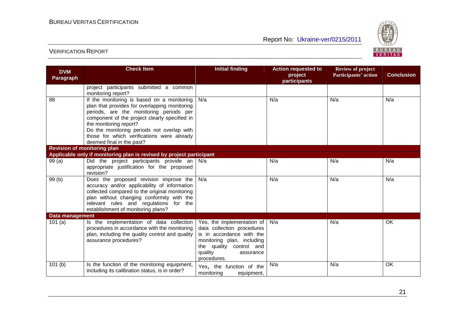

| <b>DVM</b>             | <b>Check Item</b>                                                                                                                                                                                                                                                                                                                          | <b>Initial finding</b>                                                                                                                                                                            | <b>Action requested to</b> | <b>Review of project</b> |                   |
|------------------------|--------------------------------------------------------------------------------------------------------------------------------------------------------------------------------------------------------------------------------------------------------------------------------------------------------------------------------------------|---------------------------------------------------------------------------------------------------------------------------------------------------------------------------------------------------|----------------------------|--------------------------|-------------------|
| <b>Paragraph</b>       |                                                                                                                                                                                                                                                                                                                                            |                                                                                                                                                                                                   | project<br>participants    | Participants' action     | <b>Conclusion</b> |
|                        | project participants submitted a common<br>monitoring report?                                                                                                                                                                                                                                                                              |                                                                                                                                                                                                   |                            |                          |                   |
| 98                     | If the monitoring is based on a monitoring<br>plan that provides for overlapping monitoring<br>periods, are the monitoring periods per<br>component of the project clearly specified in<br>the monitoring report?<br>Do the monitoring periods not overlap with<br>those for which verifications were already<br>deemed final in the past? | N/a                                                                                                                                                                                               | N/a                        | N/a                      | N/a               |
|                        | <b>Revision of monitoring plan</b>                                                                                                                                                                                                                                                                                                         |                                                                                                                                                                                                   |                            |                          |                   |
|                        | Applicable only if monitoring plan is revised by project participant                                                                                                                                                                                                                                                                       |                                                                                                                                                                                                   |                            |                          |                   |
| 99(a)                  | Did the project participants provide an $N/a$<br>appropriate justification for the proposed<br>revision?                                                                                                                                                                                                                                   |                                                                                                                                                                                                   | N/a                        | N/a                      | N/a               |
| 99(b)                  | Does the proposed revision improve the<br>accuracy and/or applicability of information<br>collected compared to the original monitoring<br>plan without changing conformity with the<br>relevant rules and regulations for the<br>establishment of monitoring plans?                                                                       | N/a                                                                                                                                                                                               | N/a                        | N/a                      | N/a               |
| <b>Data management</b> |                                                                                                                                                                                                                                                                                                                                            |                                                                                                                                                                                                   |                            |                          |                   |
| 101(a)                 | Is the implementation of data collection<br>procedures in accordance with the monitoring<br>plan, including the quality control and quality<br>assurance procedures?                                                                                                                                                                       | Yes, the implementation of $\vert$ N/a<br>data collection procedures<br>is in accordance with the<br>monitoring plan, including<br>the quality control and<br>quality<br>assurance<br>procedures. |                            | N/a                      | OK                |
| 101(b)                 | Is the function of the monitoring equipment,<br>including its calibration status, is in order?                                                                                                                                                                                                                                             | Yes, the function of the<br>monitoring<br>equipment,                                                                                                                                              | N/a                        | N/a                      | OK                |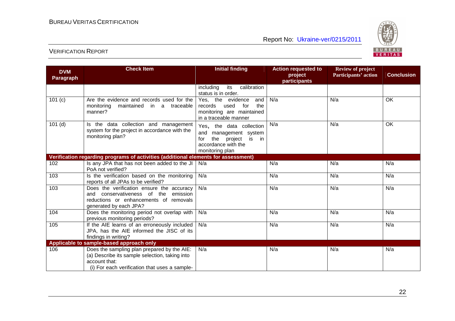

| <b>DVM</b>       | <b>Check Item</b>                                                                                                                                               | <b>Initial finding</b>                                                                                                     | <b>Action requested to</b> | <b>Review of project</b> |                   |
|------------------|-----------------------------------------------------------------------------------------------------------------------------------------------------------------|----------------------------------------------------------------------------------------------------------------------------|----------------------------|--------------------------|-------------------|
| <b>Paragraph</b> |                                                                                                                                                                 |                                                                                                                            | project<br>participants    | Participants' action     | <b>Conclusion</b> |
|                  |                                                                                                                                                                 | calibration<br>including<br>its<br>status is in order.                                                                     |                            |                          |                   |
| 101 (c)          | Are the evidence and records used for the<br>maintained in a traceable<br>monitoring<br>manner?                                                                 | Yes, the evidence<br>and<br>for<br>records<br>used<br>the<br>monitoring are maintained<br>in a traceable manner            | N/a                        | N/a                      | OK.               |
| $101$ (d)        | Is the data collection and management<br>system for the project in accordance with the<br>monitoring plan?                                                      | Yes, the data collection<br>and management system<br>the project<br>is in<br>for<br>accordance with the<br>monitoring plan | N/a                        | N/a                      | OK                |
|                  | Verification regarding programs of activities (additional elements for assessment)                                                                              |                                                                                                                            |                            |                          |                   |
| 102              | Is any JPA that has not been added to the JI<br>PoA not verified?                                                                                               | N/a                                                                                                                        | N/a                        | N/a                      | N/a               |
| 103              | Is the verification based on the monitoring<br>reports of all JPAs to be verified?                                                                              | N/a                                                                                                                        | N/a                        | N/a                      | N/a               |
| 103              | Does the verification ensure the accuracy<br>and conservativeness of the emission<br>reductions or enhancements of removals<br>generated by each JPA?           | N/a                                                                                                                        | N/a                        | N/a                      | N/a               |
| 104              | Does the monitoring period not overlap with<br>previous monitoring periods?                                                                                     | N/a                                                                                                                        | N/a                        | N/a                      | N/a               |
| 105              | If the AIE learns of an erroneously included<br>JPA, has the AIE informed the JISC of its<br>findings in writing?                                               | N/a                                                                                                                        | N/a                        | N/a                      | N/a               |
|                  | Applicable to sample-based approach only                                                                                                                        |                                                                                                                            |                            |                          |                   |
| 106              | Does the sampling plan prepared by the AIE:<br>(a) Describe its sample selection, taking into<br>account that:<br>(i) For each verification that uses a sample- | N/a                                                                                                                        | N/a                        | N/a                      | N/a               |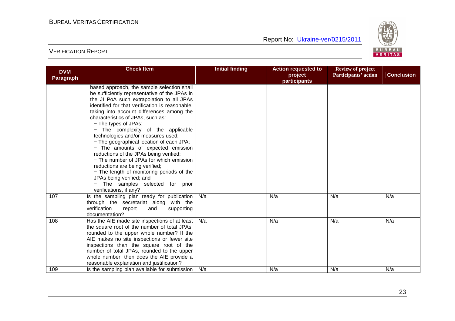

| <b>DVM</b>       | <b>Check Item</b>                                                                                                                                                                                                                                                                                                                                                                                                                                                                                                                                                                                                                                                                                                                 | <b>Initial finding</b> | <b>Action requested to</b><br>project | <b>Review of project</b><br>Participants' action | <b>Conclusion</b> |
|------------------|-----------------------------------------------------------------------------------------------------------------------------------------------------------------------------------------------------------------------------------------------------------------------------------------------------------------------------------------------------------------------------------------------------------------------------------------------------------------------------------------------------------------------------------------------------------------------------------------------------------------------------------------------------------------------------------------------------------------------------------|------------------------|---------------------------------------|--------------------------------------------------|-------------------|
| <b>Paragraph</b> |                                                                                                                                                                                                                                                                                                                                                                                                                                                                                                                                                                                                                                                                                                                                   |                        | participants                          |                                                  |                   |
|                  | based approach, the sample selection shall<br>be sufficiently representative of the JPAs in<br>the JI PoA such extrapolation to all JPAs<br>identified for that verification is reasonable,<br>taking into account differences among the<br>characteristics of JPAs, such as:<br>- The types of JPAs;<br>- The complexity of the applicable<br>technologies and/or measures used;<br>- The geographical location of each JPA;<br>- The amounts of expected emission<br>reductions of the JPAs being verified;<br>- The number of JPAs for which emission<br>reductions are being verified;<br>- The length of monitoring periods of the<br>JPAs being verified; and<br>- The samples selected for prior<br>verifications, if any? |                        |                                       |                                                  |                   |
| 107              | Is the sampling plan ready for publication  <br>through the secretariat along with the<br>verification<br>report<br>and<br>supporting<br>documentation?                                                                                                                                                                                                                                                                                                                                                                                                                                                                                                                                                                           | N/a                    | N/a                                   | N/a                                              | N/a               |
| 108              | Has the AIE made site inspections of at least<br>the square root of the number of total JPAs,<br>rounded to the upper whole number? If the<br>AIE makes no site inspections or fewer site<br>inspections than the square root of the<br>number of total JPAs, rounded to the upper<br>whole number, then does the AIE provide a<br>reasonable explanation and justification?                                                                                                                                                                                                                                                                                                                                                      | N/a                    | N/a                                   | N/a                                              | N/a               |
| 109              | Is the sampling plan available for submission                                                                                                                                                                                                                                                                                                                                                                                                                                                                                                                                                                                                                                                                                     | N/a                    | N/a                                   | N/a                                              | N/a               |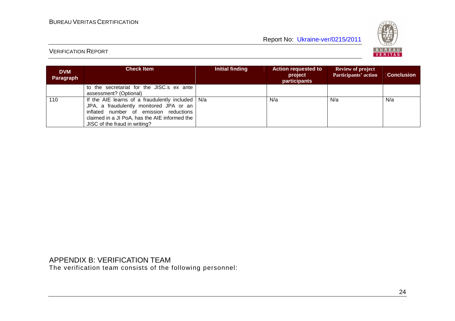

### VERIFICATION REPORT

| <b>DVM</b><br>Paragraph | <b>Check Item</b>                                                                                                                                                                                                               | Initial finding | <b>Action requested to</b><br>project<br><b>participants</b> | <b>Review of project</b><br>Participants' action | <b>Conclusion</b> |
|-------------------------|---------------------------------------------------------------------------------------------------------------------------------------------------------------------------------------------------------------------------------|-----------------|--------------------------------------------------------------|--------------------------------------------------|-------------------|
|                         | to the secretariat for the JISC.s ex ante<br>assessment? (Optional)                                                                                                                                                             |                 |                                                              |                                                  |                   |
| 110                     | If the AIE learns of a fraudulently included $\vert$ N/a<br>JPA, a fraudulently monitored JPA or an<br>inflated number of emission reductions<br>claimed in a JI PoA, has the AIE informed the<br>JISC of the fraud in writing? |                 | N/a                                                          | N/a                                              | N/a               |

APPENDIX B: VERIFICATION TEAM The verification team consists of the following personnel: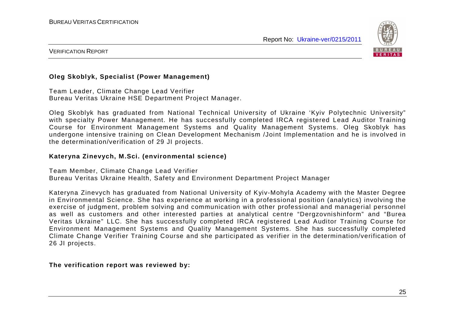

#### VERIFICATION REPORT

#### **Oleg Skoblyk, Specialist (Power Management)**

Team Leader, Climate Change Lead Verifier Bureau Veritas Ukraine HSE Department Project Manager.

Oleg Skoblyk has graduated from National Technical University of Ukraine 'Kyiv Polytechnic University" with specialty Power Management. He has successfully completed IRCA registered Lead Auditor Training Course for Environment Management Systems and Quality Management Systems. Oleg Skoblyk has undergone intensive training on Clean Development Mechanism /Joint Implementation and he is involved in the determination/verification of 29 JI projects.

#### **Kateryna Zinevych, M.Sci. (environmental science)**

Team Member, Climate Change Lead Verifier Bureau Veritas Ukraine Health, Safety and Environment Department Project Manager

Kateryna Zinevych has graduated from National University of Kyiv-Mohyla Academy with the Master Degree in Environmental Science. She has experience at working in a professional position (analytics) involving the exercise of judgment, problem solving and communication with other professional and managerial personnel as well as customers and other interested parties at analytical centre "Dergzovnishinform" and "Burea Veritas Ukraine" LLC. She has successfully completed IRCA registered Lead Auditor Training Course for Environment Management Systems and Quality Management Systems. She has successfully completed Climate Change Verifier Training Course and she participated as verifier in the determination/verification of 26 JI projects.

#### **The verification report was reviewed by:**